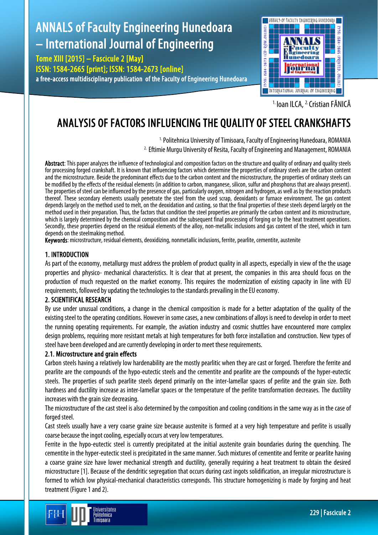# ANNALS of Faculty Engineering Hunedoara – International Journal of Engineering

Tome XIII [2015] – Fascicule 2 [May] ISSN: 1584-2665 [print]; ISSN: 1584-2673 [online] a free-access multidisciplinary publication of the Faculty of Engineering Hunedoara



<sup>1.</sup> Ioan ILCA, <sup>2.</sup> Cristian FĂNICĂ

## ANALYSIS OF FACTORS INFLUENCING THE QUALITY OF STEEL CRANKSHAFTS

<sup>1.</sup> Politehnica University of Timisoara, Faculty of Engineering Hunedoara, ROMANIA 2. Eftimie Murgu University of Resita, Faculty of Engineering and Management, ROMANIA

Abstract: This paper analyzes the influence of technological and composition factors on the structure and quality of ordinary and quality steels for processing forged crankshaft. It is known that influencing factors which determine the properties of ordinary steels are the carbon content and the microstructure. Beside the predominant effects due to the carbon content and the microstructure, the properties of ordinary steels can be modified by the effects of the residual elements (in addition to carbon, manganese, silicon, sulfur and phosphorus that are always present). The properties of steel can be influenced by the presence of gas, particularly oxygen, nitrogen and hydrogen, as well as by the reaction products thereof. These secondary elements usually penetrate the steel from the used scrap, deoxidants or furnace environment. The gas content depends largely on the method used to melt, on the deoxidation and casting, so that the final properties of these steels depend largely on the method used in their preparation. Thus, the factors that condition the steel properties are primarily the carbon content and its microstructure, which is largely determined by the chemical composition and the subsequent final processing of forging or by the heat treatment operations. Secondly, these properties depend on the residual elements of the alloy, non-metallic inclusions and gas content of the steel, which in turn depends on the steelmaking method.

Keywords: microstructure, residual elements, deoxidizing, nonmetallic inclusions, ferrite, pearlite, cementite, austenite

### 1. INTRODUCTION

As part of the economy, metallurgy must address the problem of product quality in all aspects, especially in view of the the usage properties and physico- mechanical characteristics. It is clear that at present, the companies in this area should focus on the production of much requested on the market economy. This requires the modernization of existing capacity in line with EU requirements, followed by updating the technologies to the standards prevailing in the EU economy.

#### 2. SCIENTIFICAL RESEARCH

By use under unusual conditions, a change in the chemical composition is made for a better adaptation of the quality of the existing steel to the operating conditions. However in some cases, a new combinations of alloys is need to develop in order to meet the running operating requirements. For example, the aviation industry and cosmic shuttles have encountered more complex design problems, requiring more resistant metals at high temperatures for both force installation and construction. New types of steel have been developed and are currently developing in order to meet these requirements.

#### 2.1. Microstructure and grain effects

Carbon steels having a relatively low hardenability are the mostly pearlitic when they are cast or forged. Therefore the ferrite and pearlite are the compounds of the hypo-eutectic steels and the cementite and pearlite are the compounds of the hyper-eutectic steels. The properties of such pearlite steels depend primarily on the inter-lamellar spaces of perlite and the grain size. Both hardness and ductility increase as inter-lamellar spaces or the temperature of the perlite transformation decreases. The ductility increases with the grain size decreasing.

The microstructure of the cast steel is also determined by the composition and cooling conditions in the same way as in the case of forged steel.

Cast steels usually have a very coarse graine size because austenite is formed at a very high temperature and perlite is usually coarse because the ingot cooling, especially occurs at very low temperatures.

Ferrite in the hypo-eutectic steel is currently precipitated at the initial austenite grain boundaries during the quenching. The cementite in the hyper-eutectic steel is precipitated in the same manner. Such mixtures of cementite and ferrite or pearlite having a coarse graine size have lower mechanical strength and ductility, generally requiring a heat treatment to obtain the desired microstructure [1]. Because of the dendritic segregation that occurs during cast ingots solidification, an irregular microstructure is formed to which low physical-mechanical characteristics corresponds. This structure homogenizing is made by forging and heat treatment (Figure 1 and 2).

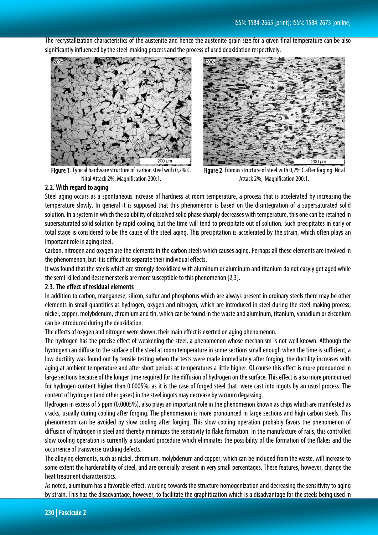The recrystallization characteristics of the austenite and hence the austenite grain size for a given final temperature can be also significantly influenced by the steel-making process and the process of used deoxidation respectively.



Figure 1. Typical hardware structure of carbon steel with 0,2% C. Nital Attack 2%, Magnification 200:1.



Figure 2. Fibrous structure of steel with 0,2% C after forging. Nital Attack 2%, Magnification 200:1.

#### 2.2. With regard to aging

Steel aging occurs as a spontaneous increase of hardness at room temperature, a process that is accelerated by increasing the temperature slowly. In general it is supposed that this phenomenon is based on the disintegration of a supersaturated solid solution. In a system in which the solubility of dissolved solid phase sharply decreases with temperature, this one can be retained in supersaturated solid solution by rapid cooling, but the time will tend to precipitate out of solution. Such precipitates in early or total stage is considered to be the cause of the steel aging. This precipitation is accelerated by the strain, which often plays an important role in aging steel.

Carbon, nitrogen and oxygen are the elements in the carbon steels which causes aging. Perhaps all these elements are involved in the phenomenon, but it is difficult to separate their individual effects.

It was found that the steels which are strongly deoxidized with aluminum or aluminum and titanium do not easyly get aged while the semi-killed and Bessemer steels are more susceptible to this phenomenon [2,3].

#### 2.3. The effect of residual elements

In addition to carbon, manganese, silicon, sulfur and phosphorus which are always present in ordinary steels there may be other elements in small quantities as hydrogen, oxygen and nitrogen, which are introduced in steel during the steel-making process; nickel, copper, molybdenum, chromium and tin, which can be found in the waste and aluminum, titanium, vanadium or zirconium can be introduced during the deoxidation.

The effects of oxygen and nitrogen were shown, their main effect is exerted on aging phenomenon.

The hydrogen has the precise effect of weakening the steel, a phenomenon whose mechanism is not well known. Although the hydrogen can diffuse to the surface of the steel at room temperature in some sections small enough when the time is sufficient, a low ductility was found out by tensile testing when the tests were made immediately after forging; the ductility increases with aging at ambient temperature and after short periods at temperatures a little higher. Of course this effect is more pronounced in large sections because of the longer time required for the diffusion of hydrogen on the surface. This effect is also more pronounced for hydrogen content higher than 0.0005%, as it is the case of forged steel that were cast into ingots by an ususl process. The content of hydrogen (and other gases) in the steel ingots may decrease by vacuum degassing.

Hydrogen in excess of 5 ppm (0.0005%), also plays an important role in the phenomenon known as chips which are manifested as cracks, usually during cooling after forging. The phenomenon is more pronounced in large sections and high carbon steels. This phenomenon can be avoided by slow cooling after forging. This slow cooling operation probably favors the phenomenon of diffusion of hydrogen in steel and thereby minimizes the sensitivity to flake formation. In the manufacture of rails, this controlled slow cooling operation is currently a standard procedure which eliminates the possibility of the formation of the flakes and the occurrence of transverse cracking defects.

The alloying elements, such as nickel, chromium, molybdenum and copper, which can be included from the waste, will increase to some extent the hardenability of steel, and are generally present in very small percentages. These features, however, change the heat treatment characteristics.

As noted, aluminum has a favorable effect, working towards the structure homogenization and decreasing the sensitivity to aging by strain. This has the disadvantage, however, to facilitate the graphitization which is a disadvantage for the steels being used in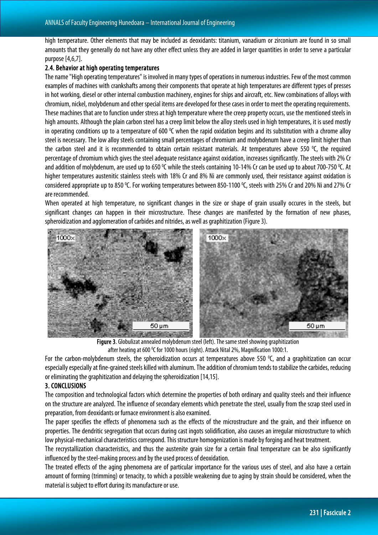high temperature. Other elements that may be included as deoxidants: titanium, vanadium or zirconium are found in so small amounts that they generally do not have any other effect unless they are added in larger quantities in order to serve a particular purpose[4,6,7].

#### 2.4. Behavior at high operating temperatures

The name "High operating temperatures" is involved in many types of operations in numerous industries. Few of the most common examples of machines with crankshafts among their components that operate at high temperatures are different types of presses in hot working, diesel or other internal combustion machinery, engines for ships and aircraft, etc. New combinations of alloys with chromium, nickel, molybdenum and other special items are developed for these cases in order to meet the operating requirements. These machines that are to function under stress at high temperature where the creep property occurs, use the mentioned steels in high amounts. Although the plain carbon steel has a creep limit below the alloy steels used in high temperatures, it is used mostly in operating conditions up to a temperature of 600  $°C$  when the rapid oxidation begins and its substitution with a chrome alloy steel is necessary. The low alloy steels containing small percentages of chromium and molybdenum have a creep limit higher than the carbon steel and it is recommended to obtain certain resistant materials. At temperatures above 550 °C, the required percentage of chromium which gives the steel adequate resistance against oxidation, increases significantly. The steels with 2% Cr and addition of molybdenum, are used up to 650 °C while the steels containing 10-14% Cr can be used up to about 700-750 °C. At higher temperatures austenitic stainless steels with 18% Cr and 8% Ni are commonly used, their resistance against oxidation is considered appropriate up to 850 °C. For working temperatures between 850-1100 °C, steels with 25% Cr and 20% Ni and 27% Cr are recommended.

When operated at high temperature, no significant changes in the size or shape of grain usually occures in the steels, but significant changes can happen in their microstructure. These changes are manifested by the formation of new phases, spheroidization and agglomeration of carbides and nitrides, as well as graphitization (Figure 3).



Figure 3. Globulizat annealed molybdenum steel (left). The same steel showing graphitization after heating at 600  $\rm ^{o}$ C for 1000 hours (right). Attack Nital 2%, Magnification 1000:1.

For the carbon-molybdenum steels, the spheroidization occurs at temperatures above 550  $^{\circ}$ C, and a graphitization can occur especially especially at fine-grained steels killed with aluminum. The addition of chromium tends to stabilize the carbides, reducing or eliminating the graphitization and delaying the spheroidization [14,15].

#### 3. CONCLUSIONS

The composition and technological factors which determine the properties of both ordinary and quality steels and their influence on the structure are analyzed. The influence of secondary elements which penetrate the steel, usually from the scrap steel used in preparation, from deoxidants or furnace environment is also examined.

The paper specifies the effects of phenomena such as the effects of the microstructure and the grain, and their influence on properties. The dendritic segregation that occurs during cast ingots solidification, also causes an irregular microstructure to which low physical-mechanical characteristics correspond. This structure homogenization is made by forging and heat treatment.

The recrystallization characteristics, and thus the austenite grain size for a certain final temperature can be also significantly influenced by the steel-making process and by the used process of deoxidation.

The treated effects of the aging phenomena are of particular importance for the various uses of steel, and also have a certain amount of forming (trimming) or tenacity, to which a possible weakening due to aging by strain should be considered, when the material is subject to effort during its manufacture or use.